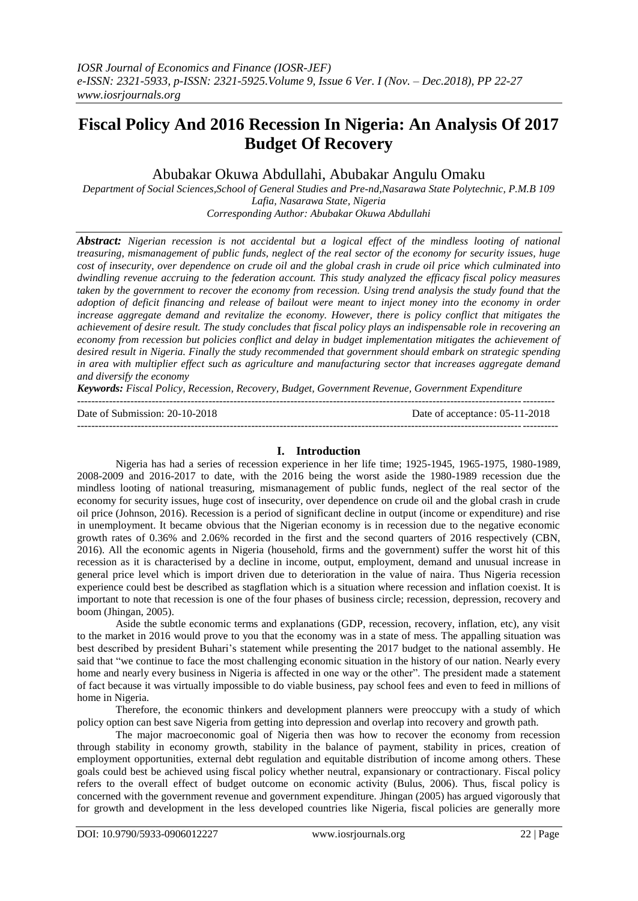# **Fiscal Policy And 2016 Recession In Nigeria: An Analysis Of 2017 Budget Of Recovery**

Abubakar Okuwa Abdullahi, Abubakar Angulu Omaku

*Department of Social Sciences,School of General Studies and Pre-nd,Nasarawa State Polytechnic, P.M.B 109 Lafia, Nasarawa State, Nigeria Corresponding Author: Abubakar Okuwa Abdullahi*

*Abstract: Nigerian recession is not accidental but a logical effect of the mindless looting of national treasuring, mismanagement of public funds, neglect of the real sector of the economy for security issues, huge cost of insecurity, over dependence on crude oil and the global crash in crude oil price which culminated into dwindling revenue accruing to the federation account. This study analyzed the efficacy fiscal policy measures taken by the government to recover the economy from recession. Using trend analysis the study found that the adoption of deficit financing and release of bailout were meant to inject money into the economy in order increase aggregate demand and revitalize the economy. However, there is policy conflict that mitigates the achievement of desire result. The study concludes that fiscal policy plays an indispensable role in recovering an economy from recession but policies conflict and delay in budget implementation mitigates the achievement of desired result in Nigeria. Finally the study recommended that government should embark on strategic spending in area with multiplier effect such as agriculture and manufacturing sector that increases aggregate demand and diversify the economy*

*Keywords: Fiscal Policy, Recession, Recovery, Budget, Government Revenue, Government Expenditure*

 $-1.1$ 

Date of Submission: 20-10-2018 Date of acceptance: 05-11-2018

### **I. Introduction**

---------------------------------------------------------------------------------------------------------------------------------------

Nigeria has had a series of recession experience in her life time; 1925-1945, 1965-1975, 1980-1989, 2008-2009 and 2016-2017 to date, with the 2016 being the worst aside the 1980-1989 recession due the mindless looting of national treasuring, mismanagement of public funds, neglect of the real sector of the economy for security issues, huge cost of insecurity, over dependence on crude oil and the global crash in crude oil price (Johnson, 2016). Recession is a period of significant decline in output (income or expenditure) and rise in unemployment. It became obvious that the Nigerian economy is in recession due to the negative economic growth rates of 0.36% and 2.06% recorded in the first and the second quarters of 2016 respectively (CBN, 2016). All the economic agents in Nigeria (household, firms and the government) suffer the worst hit of this recession as it is characterised by a decline in income, output, employment, demand and unusual increase in general price level which is import driven due to deterioration in the value of naira. Thus Nigeria recession experience could best be described as stagflation which is a situation where recession and inflation coexist. It is important to note that recession is one of the four phases of business circle; recession, depression, recovery and boom (Jhingan, 2005).

Aside the subtle economic terms and explanations (GDP, recession, recovery, inflation, etc), any visit to the market in 2016 would prove to you that the economy was in a state of mess. The appalling situation was best described by president Buhari's statement while presenting the 2017 budget to the national assembly. He said that "we continue to face the most challenging economic situation in the history of our nation. Nearly every home and nearly every business in Nigeria is affected in one way or the other". The president made a statement of fact because it was virtually impossible to do viable business, pay school fees and even to feed in millions of home in Nigeria.

Therefore, the economic thinkers and development planners were preoccupy with a study of which policy option can best save Nigeria from getting into depression and overlap into recovery and growth path.

The major macroeconomic goal of Nigeria then was how to recover the economy from recession through stability in economy growth, stability in the balance of payment, stability in prices, creation of employment opportunities, external debt regulation and equitable distribution of income among others. These goals could best be achieved using fiscal policy whether neutral, expansionary or contractionary. Fiscal policy refers to the overall effect of budget outcome on economic activity (Bulus, 2006). Thus, fiscal policy is concerned with the government revenue and government expenditure. Jhingan (2005) has argued vigorously that for growth and development in the less developed countries like Nigeria, fiscal policies are generally more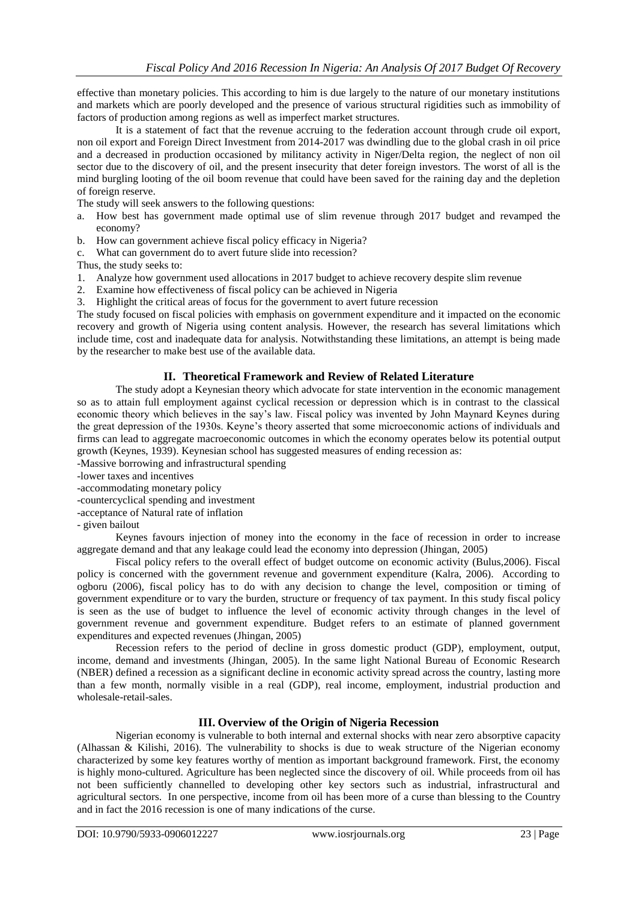effective than monetary policies. This according to him is due largely to the nature of our monetary institutions and markets which are poorly developed and the presence of various structural rigidities such as immobility of factors of production among regions as well as imperfect market structures.

It is a statement of fact that the revenue accruing to the federation account through crude oil export, non oil export and Foreign Direct Investment from 2014-2017 was dwindling due to the global crash in oil price and a decreased in production occasioned by militancy activity in Niger/Delta region, the neglect of non oil sector due to the discovery of oil, and the present insecurity that deter foreign investors. The worst of all is the mind burgling looting of the oil boom revenue that could have been saved for the raining day and the depletion of foreign reserve.

The study will seek answers to the following questions:

- a. How best has government made optimal use of slim revenue through 2017 budget and revamped the economy?
- b. How can government achieve fiscal policy efficacy in Nigeria?
- c. What can government do to avert future slide into recession?

Thus, the study seeks to:

- 1. Analyze how government used allocations in 2017 budget to achieve recovery despite slim revenue
- 2. Examine how effectiveness of fiscal policy can be achieved in Nigeria
- 3. Highlight the critical areas of focus for the government to avert future recession

The study focused on fiscal policies with emphasis on government expenditure and it impacted on the economic recovery and growth of Nigeria using content analysis. However, the research has several limitations which include time, cost and inadequate data for analysis. Notwithstanding these limitations, an attempt is being made by the researcher to make best use of the available data.

## **II. Theoretical Framework and Review of Related Literature**

The study adopt a Keynesian theory which advocate for state intervention in the economic management so as to attain full employment against cyclical recession or depression which is in contrast to the classical economic theory which believes in the say's law. Fiscal policy was invented by John Maynard Keynes during the great depression of the 1930s. Keyne's theory asserted that some microeconomic actions of individuals and firms can lead to aggregate macroeconomic outcomes in which the economy operates below its potential output growth (Keynes, 1939). Keynesian school has suggested measures of ending recession as:

-Massive borrowing and infrastructural spending

- -lower taxes and incentives
- -accommodating monetary policy
- -countercyclical spending and investment
- -acceptance of Natural rate of inflation
- given bailout

Keynes favours injection of money into the economy in the face of recession in order to increase aggregate demand and that any leakage could lead the economy into depression (Jhingan, 2005)

Fiscal policy refers to the overall effect of budget outcome on economic activity (Bulus,2006). Fiscal policy is concerned with the government revenue and government expenditure (Kalra, 2006). According to ogboru (2006), fiscal policy has to do with any decision to change the level, composition or timing of government expenditure or to vary the burden, structure or frequency of tax payment. In this study fiscal policy is seen as the use of budget to influence the level of economic activity through changes in the level of government revenue and government expenditure. Budget refers to an estimate of planned government expenditures and expected revenues (Jhingan, 2005)

Recession refers to the period of decline in gross domestic product (GDP), employment, output, income, demand and investments (Jhingan, 2005). In the same light National Bureau of Economic Research (NBER) defined a recession as a significant decline in economic activity spread across the country, lasting more than a few month, normally visible in a real (GDP), real income, employment, industrial production and wholesale-retail-sales.

### **III. Overview of the Origin of Nigeria Recession**

Nigerian economy is vulnerable to both internal and external shocks with near zero absorptive capacity (Alhassan & Kilishi, 2016). The vulnerability to shocks is due to weak structure of the Nigerian economy characterized by some key features worthy of mention as important background framework. First, the economy is highly mono-cultured. Agriculture has been neglected since the discovery of oil. While proceeds from oil has not been sufficiently channelled to developing other key sectors such as industrial, infrastructural and agricultural sectors. In one perspective, income from oil has been more of a curse than blessing to the Country and in fact the 2016 recession is one of many indications of the curse.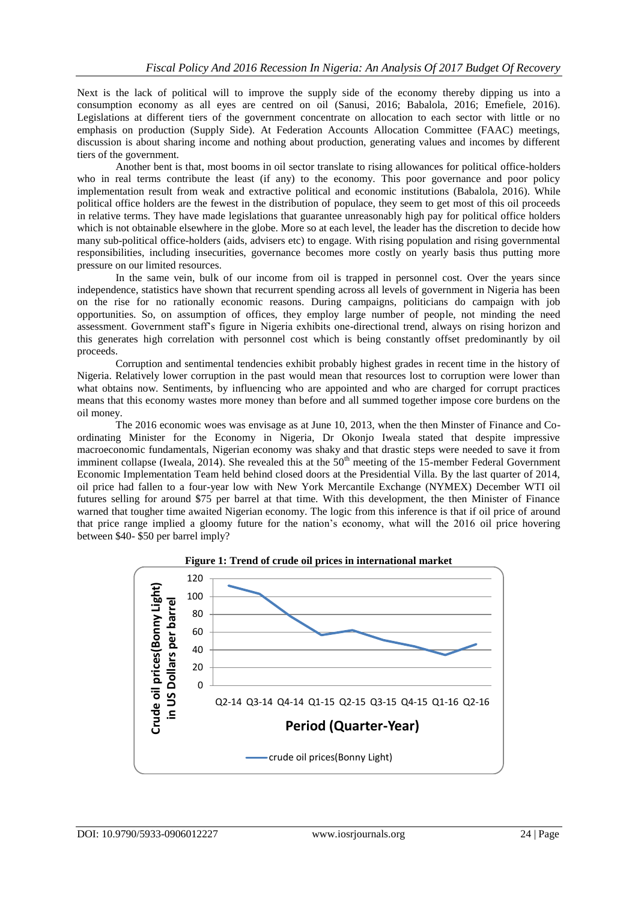Next is the lack of political will to improve the supply side of the economy thereby dipping us into a consumption economy as all eyes are centred on oil (Sanusi, 2016; Babalola, 2016; Emefiele, 2016). Legislations at different tiers of the government concentrate on allocation to each sector with little or no emphasis on production (Supply Side). At Federation Accounts Allocation Committee (FAAC) meetings, discussion is about sharing income and nothing about production, generating values and incomes by different tiers of the government.

Another bent is that, most booms in oil sector translate to rising allowances for political office-holders who in real terms contribute the least (if any) to the economy. This poor governance and poor policy implementation result from weak and extractive political and economic institutions (Babalola, 2016). While political office holders are the fewest in the distribution of populace, they seem to get most of this oil proceeds in relative terms. They have made legislations that guarantee unreasonably high pay for political office holders which is not obtainable elsewhere in the globe. More so at each level, the leader has the discretion to decide how many sub-political office-holders (aids, advisers etc) to engage. With rising population and rising governmental responsibilities, including insecurities, governance becomes more costly on yearly basis thus putting more pressure on our limited resources.

In the same vein, bulk of our income from oil is trapped in personnel cost. Over the years since independence, statistics have shown that recurrent spending across all levels of government in Nigeria has been on the rise for no rationally economic reasons. During campaigns, politicians do campaign with job opportunities. So, on assumption of offices, they employ large number of people, not minding the need assessment. Government staff's figure in Nigeria exhibits one-directional trend, always on rising horizon and this generates high correlation with personnel cost which is being constantly offset predominantly by oil proceeds.

Corruption and sentimental tendencies exhibit probably highest grades in recent time in the history of Nigeria. Relatively lower corruption in the past would mean that resources lost to corruption were lower than what obtains now. Sentiments, by influencing who are appointed and who are charged for corrupt practices means that this economy wastes more money than before and all summed together impose core burdens on the oil money.

The 2016 economic woes was envisage as at June 10, 2013, when the then Minster of Finance and Coordinating Minister for the Economy in Nigeria, Dr Okonjo Iweala stated that despite impressive macroeconomic fundamentals, Nigerian economy was shaky and that drastic steps were needed to save it from imminent collapse (Iweala, 2014). She revealed this at the  $50<sup>th</sup>$  meeting of the 15-member Federal Government Economic Implementation Team held behind closed doors at the Presidential Villa. By the last quarter of 2014, oil price had fallen to a four-year low with New York Mercantile Exchange (NYMEX) December WTI oil futures selling for around \$75 per barrel at that time. With this development, the then Minister of Finance warned that tougher time awaited Nigerian economy. The logic from this inference is that if oil price of around that price range implied a gloomy future for the nation's economy, what will the 2016 oil price hovering between \$40- \$50 per barrel imply?



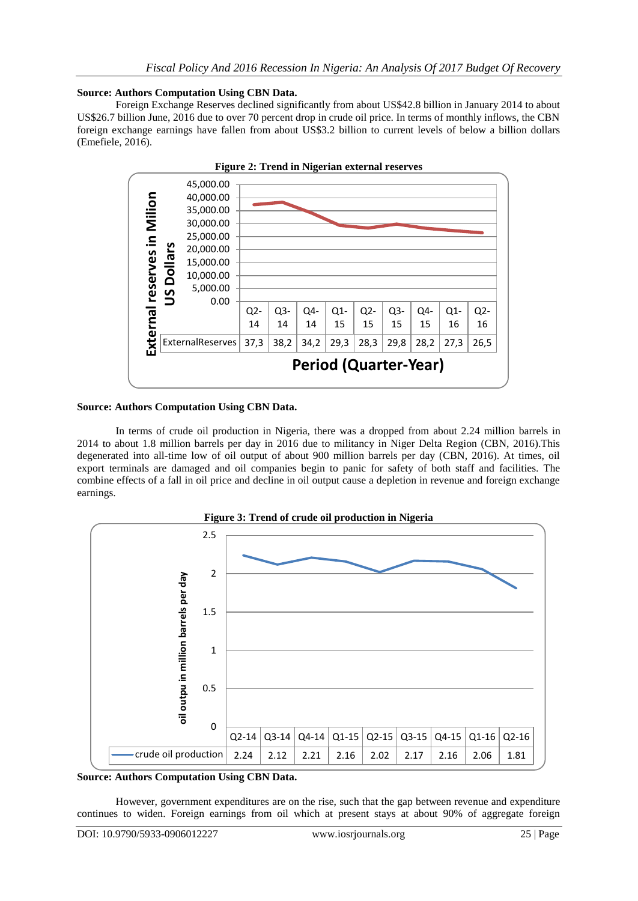# **Source: Authors Computation Using CBN Data.**

Foreign Exchange Reserves declined significantly from about US\$42.8 billion in January 2014 to about US\$26.7 billion June, 2016 due to over 70 percent drop in crude oil price. In terms of monthly inflows, the CBN foreign exchange earnings have fallen from about US\$3.2 billion to current levels of below a billion dollars (Emefiele, 2016).



## **Source: Authors Computation Using CBN Data.**

In terms of crude oil production in Nigeria, there was a dropped from about 2.24 million barrels in 2014 to about 1.8 million barrels per day in 2016 due to militancy in Niger Delta Region (CBN, 2016).This degenerated into all-time low of oil output of about 900 million barrels per day (CBN, 2016). At times, oil export terminals are damaged and oil companies begin to panic for safety of both staff and facilities. The combine effects of a fall in oil price and decline in oil output cause a depletion in revenue and foreign exchange earnings.



**Source: Authors Computation Using CBN Data.**

However, government expenditures are on the rise, such that the gap between revenue and expenditure continues to widen. Foreign earnings from oil which at present stays at about 90% of aggregate foreign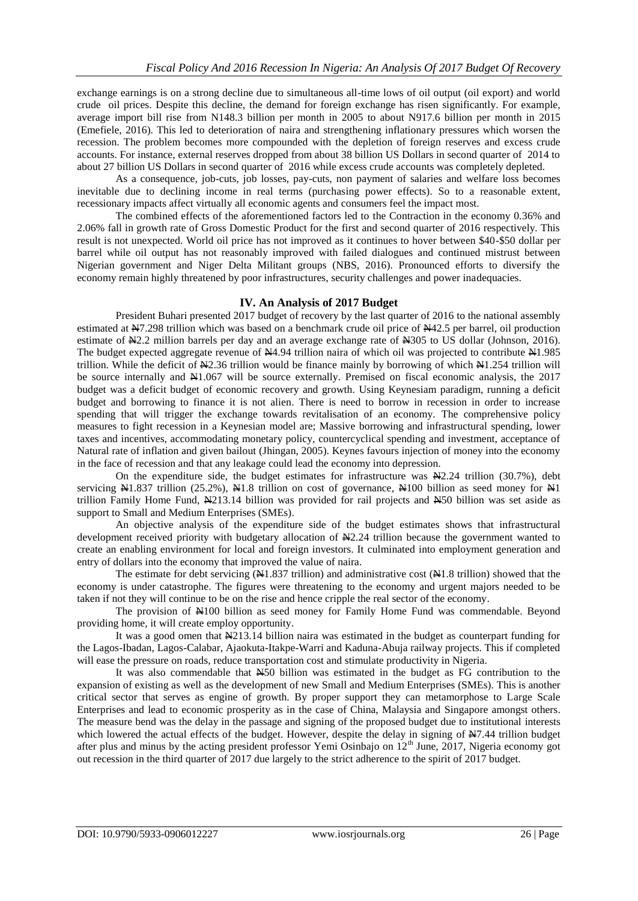exchange earnings is on a strong decline due to simultaneous all-time lows of oil output (oil export) and world crude oil prices. Despite this decline, the demand for foreign exchange has risen significantly. For example, average import bill rise from N148.3 billion per month in 2005 to about N917.6 billion per month in 2015 (Emefiele, 2016). This led to deterioration of naira and strengthening inflationary pressures which worsen the recession. The problem becomes more compounded with the depletion of foreign reserves and excess crude accounts. For instance, external reserves dropped from about 38 billion US Dollars in second quarter of 2014 to about 27 billion US Dollars in second quarter of 2016 while excess crude accounts was completely depleted.

As a consequence, job-cuts, job losses, pay-cuts, non payment of salaries and welfare loss becomes inevitable due to declining income in real terms (purchasing power effects). So to a reasonable extent, recessionary impacts affect virtually all economic agents and consumers feel the impact most.

The combined effects of the aforementioned factors led to the Contraction in the economy 0.36% and 2.06% fall in growth rate of Gross Domestic Product for the first and second quarter of 2016 respectively. This result is not unexpected. World oil price has not improved as it continues to hover between \$40-\$50 dollar per barrel while oil output has not reasonably improved with failed dialogues and continued mistrust between Nigerian government and Niger Delta Militant groups (NBS, 2016). Pronounced efforts to diversify the economy remain highly threatened by poor infrastructures, security challenges and power inadequacies.

## **IV. An Analysis of 2017 Budget**

President Buhari presented 2017 budget of recovery by the last quarter of 2016 to the national assembly estimated at N7.298 trillion which was based on a benchmark crude oil price of N42.5 per barrel, oil production estimate of  $\yen$ 2.2 million barrels per day and an average exchange rate of  $\yen$ 305 to US dollar (Johnson, 2016). The budget expected aggregate revenue of  $\frac{N4.94}{N1.985}$  trillion naira of which oil was projected to contribute  $\frac{N1.985}{N1.985}$ trillion. While the deficit of N2.36 trillion would be finance mainly by borrowing of which N1.254 trillion will be source internally and N1.067 will be source externally. Premised on fiscal economic analysis, the 2017 budget was a deficit budget of economic recovery and growth. Using Keynesiam paradigm, running a deficit budget and borrowing to finance it is not alien. There is need to borrow in recession in order to increase spending that will trigger the exchange towards revitalisation of an economy. The comprehensive policy measures to fight recession in a Keynesian model are; Massive borrowing and infrastructural spending, lower taxes and incentives, accommodating monetary policy, countercyclical spending and investment, acceptance of Natural rate of inflation and given bailout (Jhingan, 2005). Keynes favours injection of money into the economy in the face of recession and that any leakage could lead the economy into depression.

On the expenditure side, the budget estimates for infrastructure was  $\mathbb{N}2.24$  trillion (30.7%), debt servicing  $\text{Al}1.837$  trillion (25.2%),  $\text{Al}1.8$  trillion on cost of governance,  $\text{Al}100$  billion as seed money for  $\text{Al}1$ trillion Family Home Fund,  $\frac{1213.14}{1213.14}$  billion was provided for rail projects and  $\frac{1250}{1213.14}$  billion was set aside as support to Small and Medium Enterprises (SMEs).

An objective analysis of the expenditure side of the budget estimates shows that infrastructural development received priority with budgetary allocation of  $\frac{N}{2}$ . 24 trillion because the government wanted to create an enabling environment for local and foreign investors. It culminated into employment generation and entry of dollars into the economy that improved the value of naira.

The estimate for debt servicing  $(\frac{N}{N}1.837 \text{ trillion})$  and administrative cost  $(\frac{N}{N}1.8 \text{ trillion})$  showed that the economy is under catastrophe. The figures were threatening to the economy and urgent majors needed to be taken if not they will continue to be on the rise and hence cripple the real sector of the economy.

The provision of N100 billion as seed money for Family Home Fund was commendable. Beyond providing home, it will create employ opportunity.

It was a good omen that N213.14 billion naira was estimated in the budget as counterpart funding for the Lagos-Ibadan, Lagos-Calabar, Ajaokuta-Itakpe-Warri and Kaduna-Abuja railway projects. This if completed will ease the pressure on roads, reduce transportation cost and stimulate productivity in Nigeria.

It was also commendable that N50 billion was estimated in the budget as FG contribution to the expansion of existing as well as the development of new Small and Medium Enterprises (SMEs). This is another critical sector that serves as engine of growth. By proper support they can metamorphose to Large Scale Enterprises and lead to economic prosperity as in the case of China, Malaysia and Singapore amongst others. The measure bend was the delay in the passage and signing of the proposed budget due to institutional interests which lowered the actual effects of the budget. However, despite the delay in signing of  $\yen$ 7.44 trillion budget after plus and minus by the acting president professor Yemi Osinbajo on 12<sup>th</sup> June, 2017, Nigeria economy got out recession in the third quarter of 2017 due largely to the strict adherence to the spirit of 2017 budget.